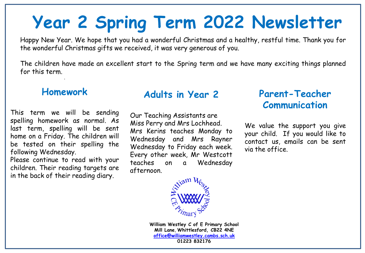# **Year 2 Spring Term 2022 Newsletter**

Happy New Year. We hope that you had a wonderful Christmas and a healthy, restful time. Thank you for the wonderful Christmas gifts we received, it was very generous of you.

The children have made an excellent start to the Spring term and we have many exciting things planned for this term.

#### **Homework**

.

This term we will be sending spelling homework as normal. As last term, spelling will be sent home on a Friday. The children will be tested on their spelling the following Wednesday.

Please continue to read with your children. Their reading targets are in the back of their reading diary.

#### **Adults in Year 2**

Our Teaching Assistants are Miss Perry and Mrs Lochhead. Mrs Kerins teaches Monday to Wednesday and Mrs Rayner Wednesday to Friday each week. Every other week, Mr Westcott teaches on a Wednesday afternoon.

### **Parent-Teacher Communication**

We value the support you give your child. If you would like to contact us, emails can be sent via the office.



**William Westley C of E Primary School Mill Lane**, **Whittlesford, CB22 4NE [office@williamwestley.cambs.sch.uk](mailto:office@williamwestley.cambs.sch.uk) 01223 832176**